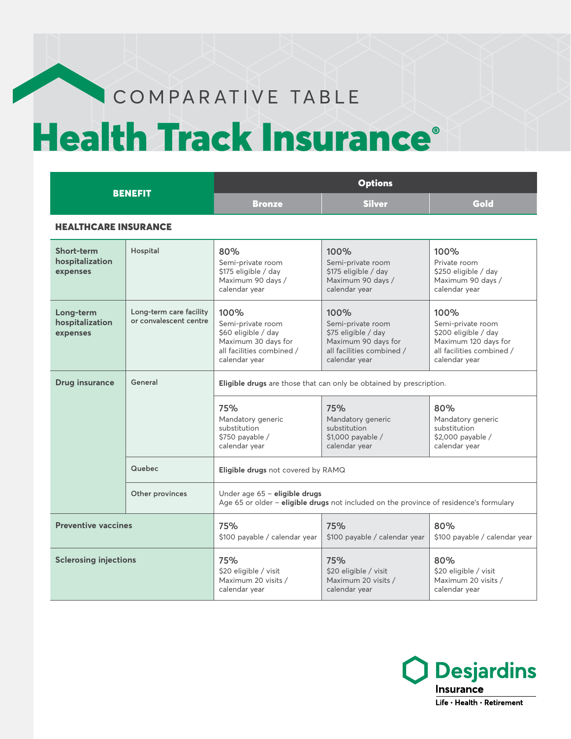# COMPARATIVE TABLE

# Health Track Insurance®

| <b>BENEFIT</b>                            |                                                   | <b>Options</b>                                                                                                          |                                                                                                                       |                                                                                                                         |
|-------------------------------------------|---------------------------------------------------|-------------------------------------------------------------------------------------------------------------------------|-----------------------------------------------------------------------------------------------------------------------|-------------------------------------------------------------------------------------------------------------------------|
|                                           |                                                   | <b>Bronze</b>                                                                                                           | <b>Silver</b>                                                                                                         | Gold                                                                                                                    |
| <b>HEALTHCARE INSURANCE</b>               |                                                   |                                                                                                                         |                                                                                                                       |                                                                                                                         |
| Short-term<br>hospitalization<br>expenses | Hospital                                          | 80%<br>Semi-private room<br>\$175 eligible / day<br>Maximum 90 days /<br>calendar year                                  | 100%<br>Semi-private room<br>\$175 eligible / day<br>Maximum 90 days /<br>calendar year                               | 100%<br>Private room<br>\$250 eligible / day<br>Maximum 90 days /<br>calendar year                                      |
| Long-term<br>hospitalization<br>expenses  | Long-term care facility<br>or convalescent centre | 100%<br>Semi-private room<br>\$60 eligible / day<br>Maximum 30 days for<br>all facilities combined /<br>calendar year   | 100%<br>Semi-private room<br>\$75 eligible / day<br>Maximum 90 days for<br>all facilities combined /<br>calendar year | 100%<br>Semi-private room<br>\$200 eligible / day<br>Maximum 120 days for<br>all facilities combined /<br>calendar year |
| <b>Drug insurance</b>                     | General                                           | Eligible drugs are those that can only be obtained by prescription.                                                     |                                                                                                                       |                                                                                                                         |
|                                           |                                                   | 75%<br>Mandatory generic<br>substitution<br>$$750$ payable /<br>calendar year                                           | 75%<br>Mandatory generic<br>substitution<br>\$1,000 payable /<br>calendar year                                        | 80%<br>Mandatory generic<br>substitution<br>\$2,000 payable /<br>calendar year                                          |
|                                           | Quebec                                            | Eligible drugs not covered by RAMQ                                                                                      |                                                                                                                       |                                                                                                                         |
|                                           | Other provinces                                   | Under age 65 - eligible drugs<br>Age 65 or older - eligible drugs not included on the province of residence's formulary |                                                                                                                       |                                                                                                                         |
| <b>Preventive vaccines</b>                |                                                   | 75%<br>\$100 payable / calendar year                                                                                    | 75%<br>\$100 payable / calendar year                                                                                  | 80%<br>\$100 payable / calendar year                                                                                    |
| <b>Sclerosing injections</b>              |                                                   | 75%<br>\$20 eligible / visit<br>Maximum 20 visits /<br>calendar year                                                    | 75%<br>\$20 eligible / visit<br>Maximum 20 visits /<br>calendar year                                                  | 80%<br>\$20 eligible / visit<br>Maximum 20 visits /<br>calendar year                                                    |

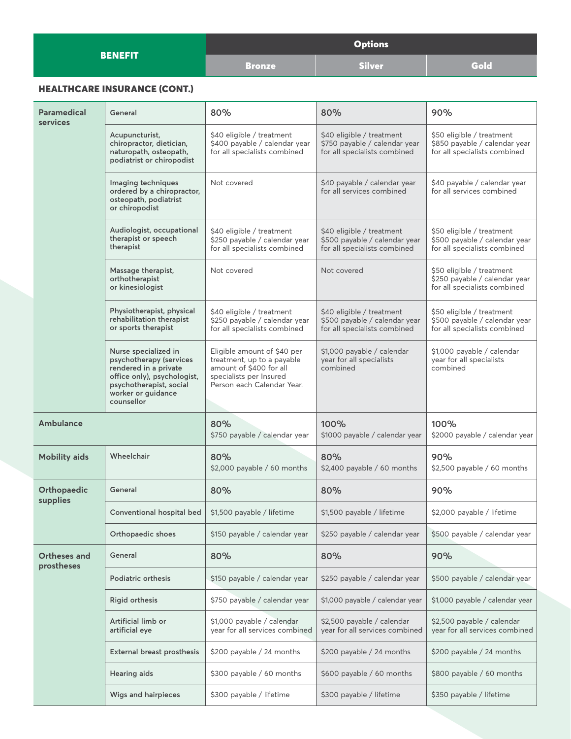|                | <b>Options</b> |               |      |
|----------------|----------------|---------------|------|
| <b>BENEFIT</b> | <b>Bronze</b>  | <b>Silver</b> | Gold |

## HEALTHCARE INSURANCE (CONT.)

| Paramedical<br><b>services</b> | General                                                                                                                                                                | 80%                                                                                                                                           | 80%                                                                                        | 90%                                                                                        |
|--------------------------------|------------------------------------------------------------------------------------------------------------------------------------------------------------------------|-----------------------------------------------------------------------------------------------------------------------------------------------|--------------------------------------------------------------------------------------------|--------------------------------------------------------------------------------------------|
|                                | Acupuncturist,<br>chiropractor, dietician,<br>naturopath, osteopath,<br>podiatrist or chiropodist                                                                      | \$40 eligible / treatment<br>\$400 payable / calendar year<br>for all specialists combined                                                    | \$40 eligible / treatment<br>\$750 payable / calendar year<br>for all specialists combined | \$50 eligible / treatment<br>\$850 payable / calendar year<br>for all specialists combined |
|                                | Imaging techniques<br>ordered by a chiropractor,<br>osteopath, podiatrist<br>or chiropodist                                                                            | Not covered                                                                                                                                   | \$40 payable / calendar year<br>for all services combined                                  | \$40 payable / calendar year<br>for all services combined                                  |
|                                | Audiologist, occupational<br>therapist or speech<br>therapist                                                                                                          | \$40 eligible / treatment<br>\$250 payable / calendar year<br>for all specialists combined                                                    | \$40 eligible / treatment<br>\$500 payable / calendar year<br>for all specialists combined | \$50 eligible / treatment<br>\$500 payable / calendar year<br>for all specialists combined |
|                                | Massage therapist,<br>orthotherapist<br>or kinesiologist                                                                                                               | Not covered                                                                                                                                   | Not covered                                                                                | \$50 eligible / treatment<br>\$250 payable / calendar year<br>for all specialists combined |
|                                | Physiotherapist, physical<br>rehabilitation therapist<br>or sports therapist                                                                                           | \$40 eligible / treatment<br>\$250 payable / calendar year<br>for all specialists combined                                                    | \$40 eligible / treatment<br>\$500 payable / calendar year<br>for all specialists combined | \$50 eligible / treatment<br>\$500 payable / calendar year<br>for all specialists combined |
|                                | Nurse specialized in<br>psychotherapy (services<br>rendered in a private<br>office only), psychologist,<br>psychotherapist, social<br>worker or guidance<br>counsellor | Eligible amount of \$40 per<br>treatment, up to a payable<br>amount of \$400 for all<br>specialists per Insured<br>Person each Calendar Year. | \$1,000 payable / calendar<br>year for all specialists<br>combined                         | \$1,000 payable / calendar<br>year for all specialists<br>combined                         |
| Ambulance                      |                                                                                                                                                                        | 80%<br>\$750 payable / calendar year                                                                                                          | 100%<br>\$1000 payable / calendar year                                                     | 100%<br>\$2000 payable / calendar year                                                     |
| <b>Mobility aids</b>           | Wheelchair                                                                                                                                                             | 80%<br>\$2,000 payable / 60 months                                                                                                            | 80%<br>\$2,400 payable / 60 months                                                         | 90%<br>\$2,500 payable / 60 months                                                         |
| Orthopaedic                    | General                                                                                                                                                                | 80%                                                                                                                                           | 80%                                                                                        | 90%                                                                                        |
| supplies                       | Conventional hospital bed                                                                                                                                              | \$1,500 payable / lifetime                                                                                                                    | \$1,500 payable / lifetime                                                                 | \$2,000 payable / lifetime                                                                 |
|                                | Orthopaedic shoes                                                                                                                                                      | \$150 payable / calendar year                                                                                                                 | \$250 payable / calendar year                                                              | \$500 payable / calendar year                                                              |
| Ortheses and<br>prostheses     | General                                                                                                                                                                | 80%                                                                                                                                           | 80%                                                                                        | 90%                                                                                        |
|                                | Podiatric orthesis                                                                                                                                                     | \$150 payable / calendar year                                                                                                                 | \$250 payable / calendar year                                                              | \$500 payable / calendar year                                                              |
|                                | <b>Rigid orthesis</b>                                                                                                                                                  | \$750 payable / calendar year                                                                                                                 | \$1,000 payable / calendar year                                                            | \$1,000 payable / calendar year                                                            |
|                                | Artificial limb or<br>artificial eye                                                                                                                                   | \$1,000 payable / calendar<br>year for all services combined                                                                                  | \$2,500 payable / calendar<br>year for all services combined                               | \$2,500 payable / calendar<br>year for all services combined                               |
|                                | External breast prosthesis                                                                                                                                             | \$200 payable / 24 months                                                                                                                     | \$200 payable / 24 months                                                                  | \$200 payable / 24 months                                                                  |
|                                | <b>Hearing aids</b>                                                                                                                                                    | \$300 payable / 60 months                                                                                                                     | \$600 payable / 60 months                                                                  | \$800 payable / 60 months                                                                  |
|                                | Wigs and hairpieces                                                                                                                                                    | \$300 payable / lifetime                                                                                                                      | \$300 payable / lifetime                                                                   | \$350 payable / lifetime                                                                   |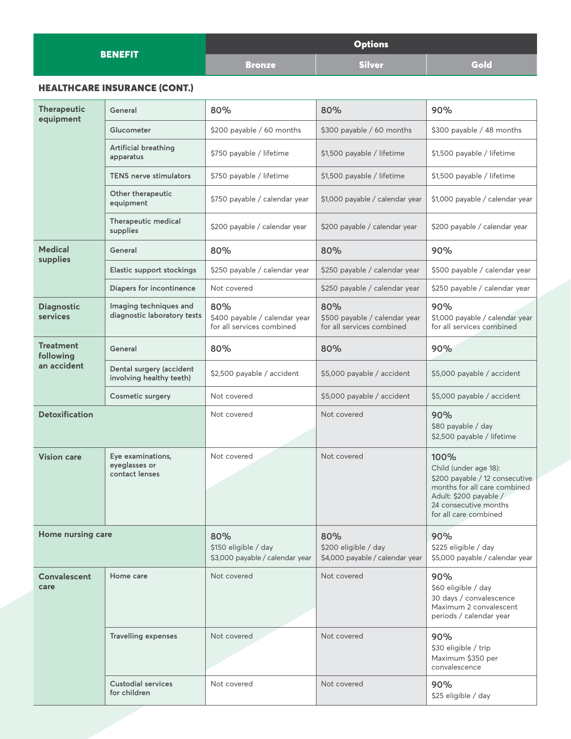| <b>BENEFIT</b> | <b>Options</b> |               |      |
|----------------|----------------|---------------|------|
|                | <b>Bronze</b>  | <b>Silver</b> | Gold |

### HEALTHCARE INSURANCE (CONT.)

| <b>Therapeutic</b><br>equipment | General                                               | 80%                                                               | 80%                                                               | 90%                                                                                                                                                                         |
|---------------------------------|-------------------------------------------------------|-------------------------------------------------------------------|-------------------------------------------------------------------|-----------------------------------------------------------------------------------------------------------------------------------------------------------------------------|
|                                 | Glucometer                                            | \$200 payable / 60 months                                         | \$300 payable / 60 months                                         | \$300 payable / 48 months                                                                                                                                                   |
|                                 | Artificial breathing<br>apparatus                     | \$750 payable / lifetime                                          | \$1,500 payable / lifetime                                        | \$1,500 payable / lifetime                                                                                                                                                  |
|                                 | <b>TENS nerve stimulators</b>                         | \$750 payable / lifetime                                          | \$1,500 payable / lifetime                                        | \$1,500 payable / lifetime                                                                                                                                                  |
|                                 | Other therapeutic<br>equipment                        | \$750 payable / calendar year                                     | \$1,000 payable / calendar year                                   | \$1,000 payable / calendar year                                                                                                                                             |
|                                 | Therapeutic medical<br>supplies                       | \$200 payable / calendar year                                     | \$200 payable / calendar year                                     | \$200 payable / calendar year                                                                                                                                               |
| <b>Medical</b><br>supplies      | General                                               | 80%                                                               | 80%                                                               | 90%                                                                                                                                                                         |
|                                 | <b>Elastic support stockings</b>                      | \$250 payable / calendar year                                     | \$250 payable / calendar year                                     | \$500 payable / calendar year                                                                                                                                               |
|                                 | Diapers for incontinence                              | Not covered                                                       | \$250 payable / calendar year                                     | \$250 payable / calendar year                                                                                                                                               |
| <b>Diagnostic</b><br>services   | Imaging techniques and<br>diagnostic laboratory tests | 80%<br>\$400 payable / calendar year<br>for all services combined | 80%<br>\$500 payable / calendar year<br>for all services combined | 90%<br>\$1,000 payable / calendar year<br>for all services combined                                                                                                         |
| <b>Treatment</b><br>following   | General                                               | 80%                                                               | 80%                                                               | 90%                                                                                                                                                                         |
| an accident                     | Dental surgery (accident<br>involving healthy teeth)  | \$2,500 payable / accident                                        | \$5,000 payable / accident                                        | \$5,000 payable / accident                                                                                                                                                  |
|                                 | <b>Cosmetic surgery</b>                               | Not covered                                                       | \$5,000 payable / accident                                        | \$5,000 payable / accident                                                                                                                                                  |
| <b>Detoxification</b>           |                                                       | Not covered                                                       | Not covered                                                       | 90%<br>\$80 payable / day<br>\$2,500 payable / lifetime                                                                                                                     |
| <b>Vision care</b>              | Eye examinations,<br>eyeglasses or<br>contact lenses  | Not covered                                                       | Not covered                                                       | 100%<br>Child (under age 18):<br>\$200 payable / 12 consecutive<br>months for all care combined<br>Adult: \$200 payable /<br>24 consecutive months<br>for all care combined |
| Home nursing care               |                                                       | 80%<br>\$150 eligible / day<br>\$3,000 payable / calendar year    | 80%<br>\$200 eligible / day<br>\$4,000 payable / calendar year    | 90%<br>\$225 eligible / day<br>\$5,000 payable / calendar year                                                                                                              |
| Convalescent<br>care            | Home care                                             | Not covered                                                       | Not covered                                                       | 90%<br>\$60 eligible / day<br>30 days / convalescence<br>Maximum 2 convalescent<br>periods / calendar year                                                                  |
|                                 | <b>Travelling expenses</b>                            | Not covered                                                       | Not covered                                                       | 90%<br>\$30 eligible / trip<br>Maximum \$350 per<br>convalescence                                                                                                           |
|                                 | <b>Custodial services</b><br>for children             | Not covered                                                       | Not covered                                                       | 90%<br>\$25 eligible / day                                                                                                                                                  |